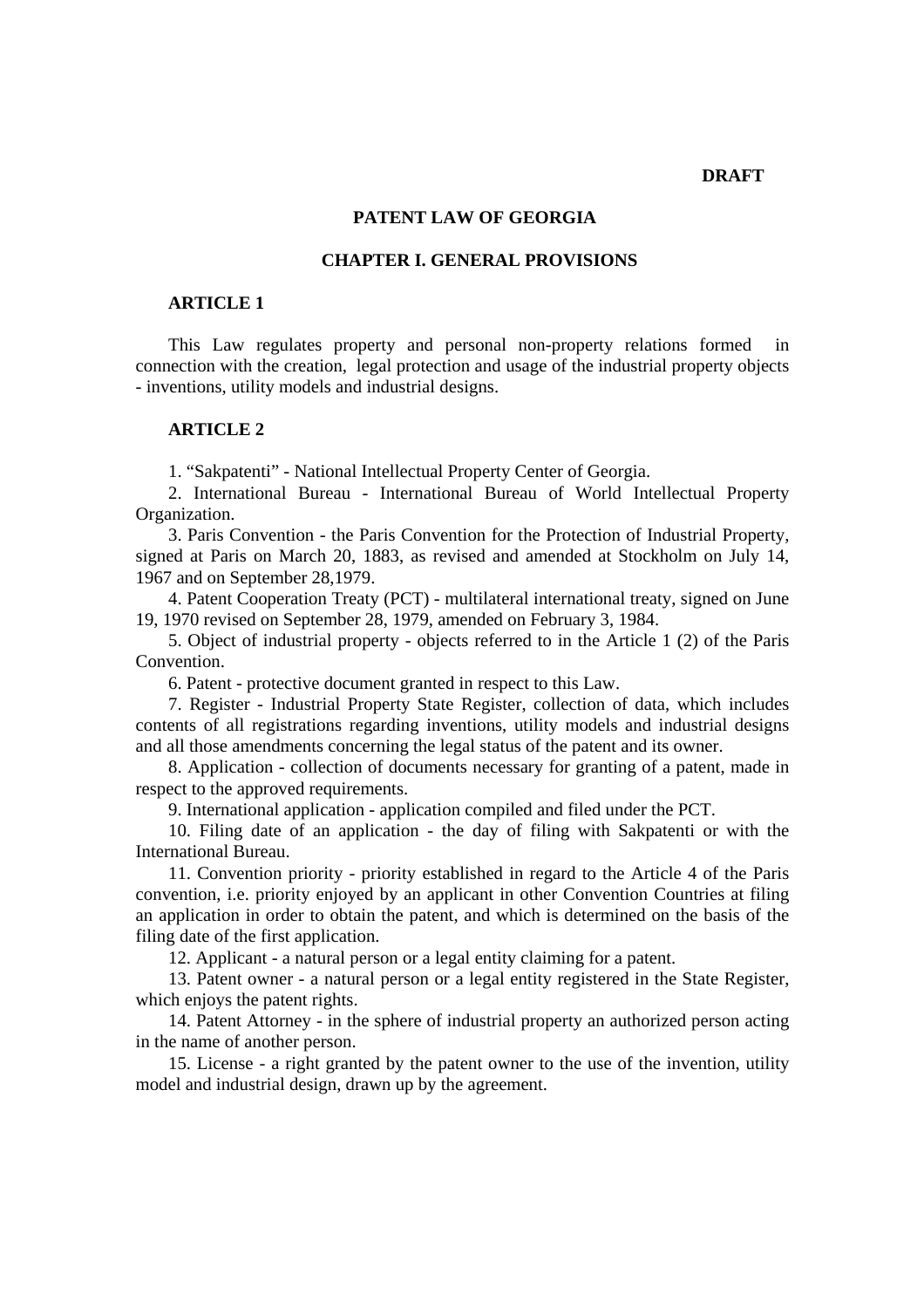### **DRAFT**

# **PATENT LAW OF GEORGIA**

# **CHAPTER I. GENERAL PROVISIONS**

# **ARTICLE 1**

This Law regulates property and personal non-property relations formed connection with the creation, legal protection and usage of the industrial property objects - inventions, utility models and industrial designs.

#### **ARTICLE 2**

1. "Sakpatenti" - National Intellectual Property Center of Georgia.

2. International Bureau - International Bureau of World Intellectual Property Organization.

3. Paris Convention - the Paris Convention for the Protection of Industrial Property, signed at Paris on March 20, 1883, as revised and amended at Stockholm on July 14, 1967 and on September 28,1979.

4. Patent Cooperation Treaty (PCT) - multilateral international treaty, signed on June 19, 1970 revised on September 28, 1979, amended on February 3, 1984.

5. Object of industrial property - objects referred to in the Article 1 (2) of the Paris Convention.

6. Patent - protective document granted in respect to this Law.

7. Register - Industrial Property State Register, collection of data, which includes contents of all registrations regarding inventions, utility models and industrial designs and all those amendments concerning the legal status of the patent and its owner.

8. Application - collection of documents necessary for granting of a patent, made in respect to the approved requirements.

9. International application - application compiled and filed under the PCT.

10. Filing date of an application - the day of filing with Sakpatenti or with the International Bureau.

11. Convention priority - priority established in regard to the Article 4 of the Paris convention, i.e. priority enjoyed by an applicant in other Convention Countries at filing an application in order to obtain the patent, and which is determined on the basis of the filing date of the first application.

12. Applicant - a natural person or a legal entity claiming for a patent.

13. Patent owner - a natural person or a legal entity registered in the State Register, which enjoys the patent rights.

14. Patent Attorney - in the sphere of industrial property an authorized person acting in the name of another person.

15. License - a right granted by the patent owner to the use of the invention, utility model and industrial design, drawn up by the agreement.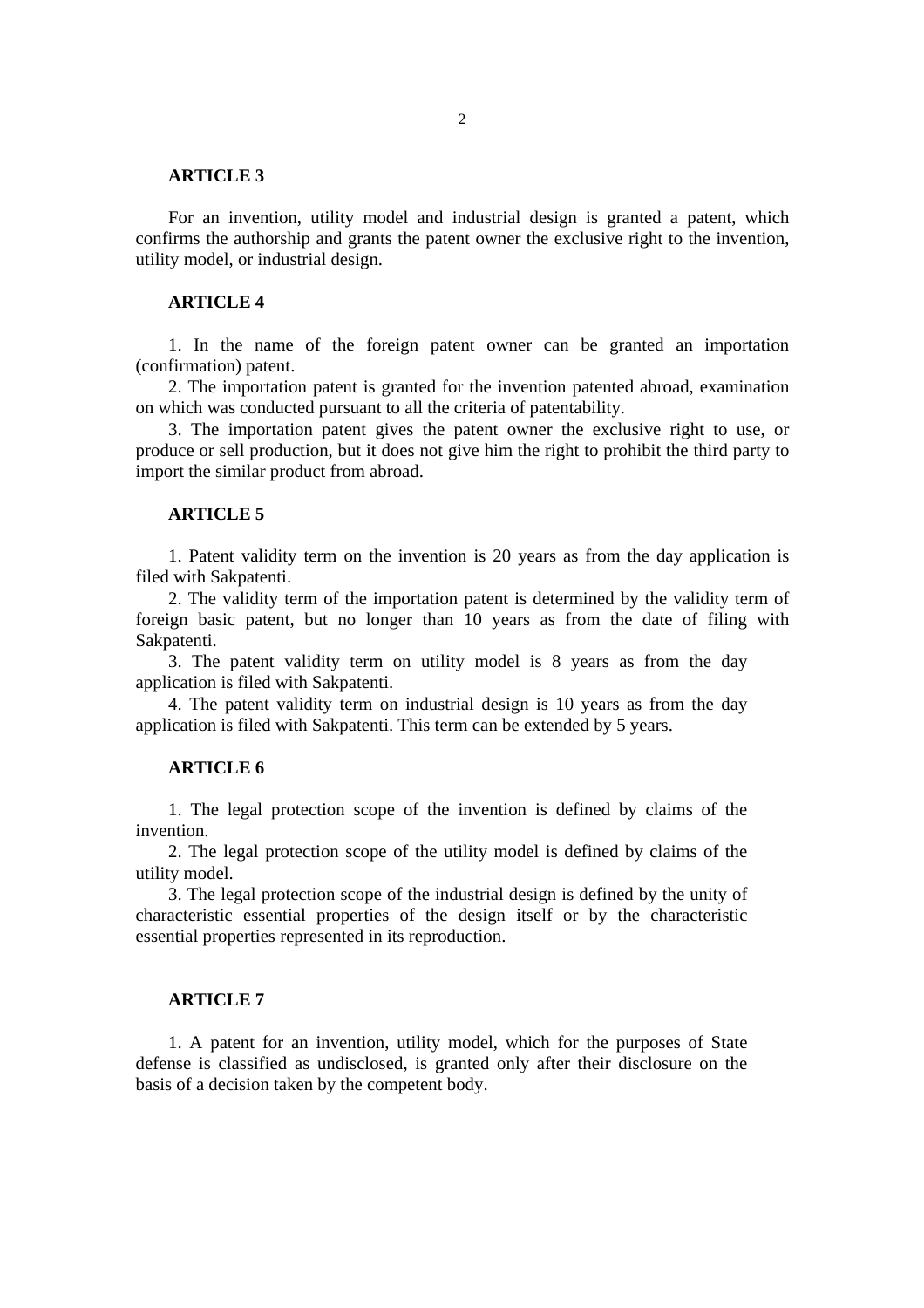## **ARTICLE 3**

For an invention, utility model and industrial design is granted a patent, which confirms the authorship and grants the patent owner the exclusive right to the invention, utility model, or industrial design.

# **ARTICLE 4**

1. In the name of the foreign patent owner can be granted an importation (confirmation) patent.

2. The importation patent is granted for the invention patented abroad, examination on which was conducted pursuant to all the criteria of patentability.

3. The importation patent gives the patent owner the exclusive right to use, or produce or sell production, but it does not give him the right to prohibit the third party to import the similar product from abroad.

#### **ARTICLE 5**

1. Patent validity term on the invention is 20 years as from the day application is filed with Sakpatenti.

2. The validity term of the importation patent is determined by the validity term of foreign basic patent, but no longer than 10 years as from the date of filing with Sakpatenti.

3. The patent validity term on utility model is 8 years as from the day application is filed with Sakpatenti.

4. The patent validity term on industrial design is 10 years as from the day application is filed with Sakpatenti. This term can be extended by 5 years.

## **ARTICLE 6**

1. The legal protection scope of the invention is defined by claims of the invention.

2. The legal protection scope of the utility model is defined by claims of the utility model.

3. The legal protection scope of the industrial design is defined by the unity of characteristic essential properties of the design itself or by the characteristic essential properties represented in its reproduction.

### **ARTICLE 7**

1. A patent for an invention, utility model, which for the purposes of State defense is classified as undisclosed, is granted only after their disclosure on the basis of a decision taken by the competent body.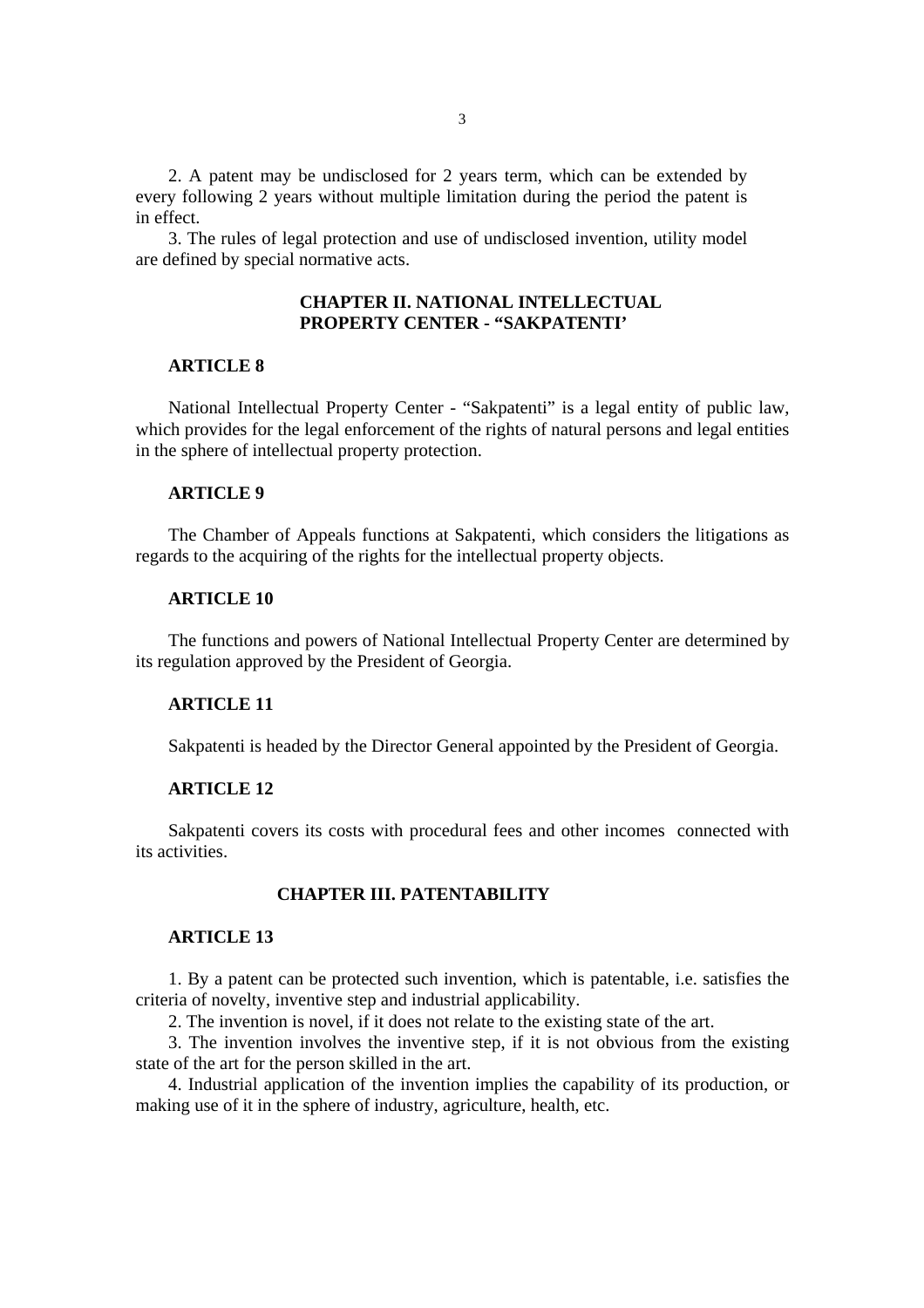2. A patent may be undisclosed for 2 years term, which can be extended by every following 2 years without multiple limitation during the period the patent is in effect.

3. The rules of legal protection and use of undisclosed invention, utility model are defined by special normative acts.

# **CHAPTER II. NATIONAL INTELLECTUAL PROPERTY CENTER - "SAKPATENTI'**

### **ARTICLE 8**

National Intellectual Property Center - "Sakpatenti" is a legal entity of public law, which provides for the legal enforcement of the rights of natural persons and legal entities in the sphere of intellectual property protection.

### **ARTICLE 9**

The Chamber of Appeals functions at Sakpatenti, which considers the litigations as regards to the acquiring of the rights for the intellectual property objects.

### **ARTICLE 10**

The functions and powers of National Intellectual Property Center are determined by its regulation approved by the President of Georgia.

## **ARTICLE 11**

Sakpatenti is headed by the Director General appointed by the President of Georgia.

### **ARTICLE 12**

Sakpatenti covers its costs with procedural fees and other incomes connected with its activities.

# **CHAPTER III. PATENTABILITY**

#### **ARTICLE 13**

1. By a patent can be protected such invention, which is patentable, i.e. satisfies the criteria of novelty, inventive step and industrial applicability.

2. The invention is novel, if it does not relate to the existing state of the art.

3. The invention involves the inventive step, if it is not obvious from the existing state of the art for the person skilled in the art.

4. Industrial application of the invention implies the capability of its production, or making use of it in the sphere of industry, agriculture, health, etc.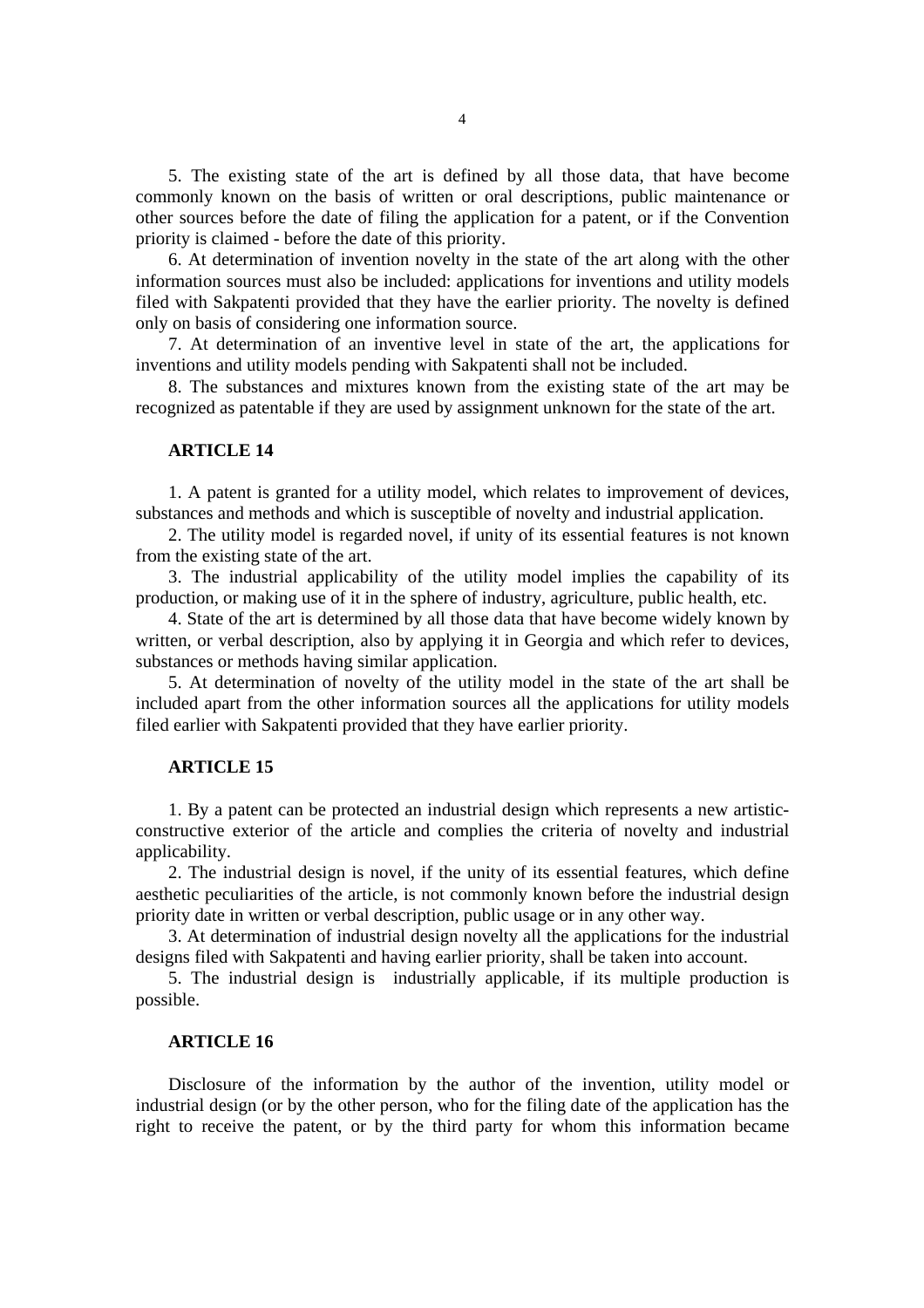5. The existing state of the art is defined by all those data, that have become commonly known on the basis of written or oral descriptions, public maintenance or other sources before the date of filing the application for a patent, or if the Convention priority is claimed - before the date of this priority.

6. At determination of invention novelty in the state of the art along with the other information sources must also be included: applications for inventions and utility models filed with Sakpatenti provided that they have the earlier priority. The novelty is defined only on basis of considering one information source.

7. At determination of an inventive level in state of the art, the applications for inventions and utility models pending with Sakpatenti shall not be included.

8. The substances and mixtures known from the existing state of the art may be recognized as patentable if they are used by assignment unknown for the state of the art.

## **ARTICLE 14**

1. A patent is granted for a utility model, which relates to improvement of devices, substances and methods and which is susceptible of novelty and industrial application.

2. The utility model is regarded novel, if unity of its essential features is not known from the existing state of the art.

3. The industrial applicability of the utility model implies the capability of its production, or making use of it in the sphere of industry, agriculture, public health, etc.

4. State of the art is determined by all those data that have become widely known by written, or verbal description, also by applying it in Georgia and which refer to devices, substances or methods having similar application.

5. At determination of novelty of the utility model in the state of the art shall be included apart from the other information sources all the applications for utility models filed earlier with Sakpatenti provided that they have earlier priority.

#### **ARTICLE 15**

1. By a patent can be protected an industrial design which represents a new artisticconstructive exterior of the article and complies the criteria of novelty and industrial applicability.

2. The industrial design is novel, if the unity of its essential features, which define aesthetic peculiarities of the article, is not commonly known before the industrial design priority date in written or verbal description, public usage or in any other way.

3. At determination of industrial design novelty all the applications for the industrial designs filed with Sakpatenti and having earlier priority, shall be taken into account.

5. The industrial design is industrially applicable, if its multiple production is possible.

#### **ARTICLE 16**

Disclosure of the information by the author of the invention, utility model or industrial design (or by the other person, who for the filing date of the application has the right to receive the patent, or by the third party for whom this information became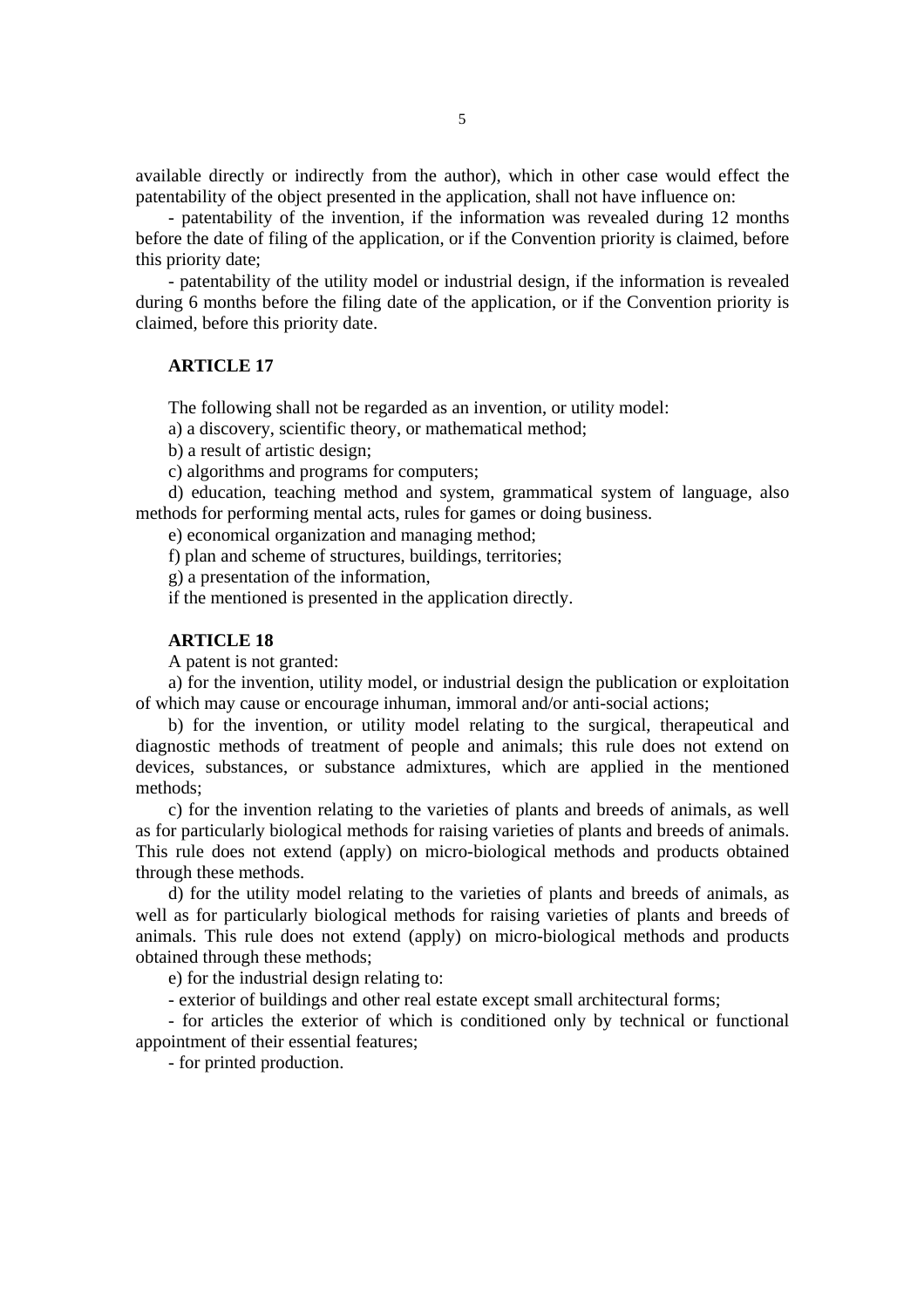available directly or indirectly from the author), which in other case would effect the patentability of the object presented in the application, shall not have influence on:

- patentability of the invention, if the information was revealed during 12 months before the date of filing of the application, or if the Convention priority is claimed, before this priority date;

- patentability of the utility model or industrial design, if the information is revealed during 6 months before the filing date of the application, or if the Convention priority is claimed, before this priority date.

## **ARTICLE 17**

The following shall not be regarded as an invention, or utility model:

a) a discovery, scientific theory, or mathematical method;

b) a result of artistic design;

c) algorithms and programs for computers;

d) education, teaching method and system, grammatical system of language, also methods for performing mental acts, rules for games or doing business.

e) economical organization and managing method;

f) plan and scheme of structures, buildings, territories;

g) a presentation of the information,

if the mentioned is presented in the application directly.

## **ARTICLE 18**

A patent is not granted:

a) for the invention, utility model, or industrial design the publication or exploitation of which may cause or encourage inhuman, immoral and/or anti-social actions;

b) for the invention, or utility model relating to the surgical, therapeutical and diagnostic methods of treatment of people and animals; this rule does not extend on devices, substances, or substance admixtures, which are applied in the mentioned methods;

c) for the invention relating to the varieties of plants and breeds of animals, as well as for particularly biological methods for raising varieties of plants and breeds of animals. This rule does not extend (apply) on micro-biological methods and products obtained through these methods.

d) for the utility model relating to the varieties of plants and breeds of animals, as well as for particularly biological methods for raising varieties of plants and breeds of animals. This rule does not extend (apply) on micro-biological methods and products obtained through these methods;

e) for the industrial design relating to:

- exterior of buildings and other real estate except small architectural forms;

- for articles the exterior of which is conditioned only by technical or functional appointment of their essential features;

- for printed production.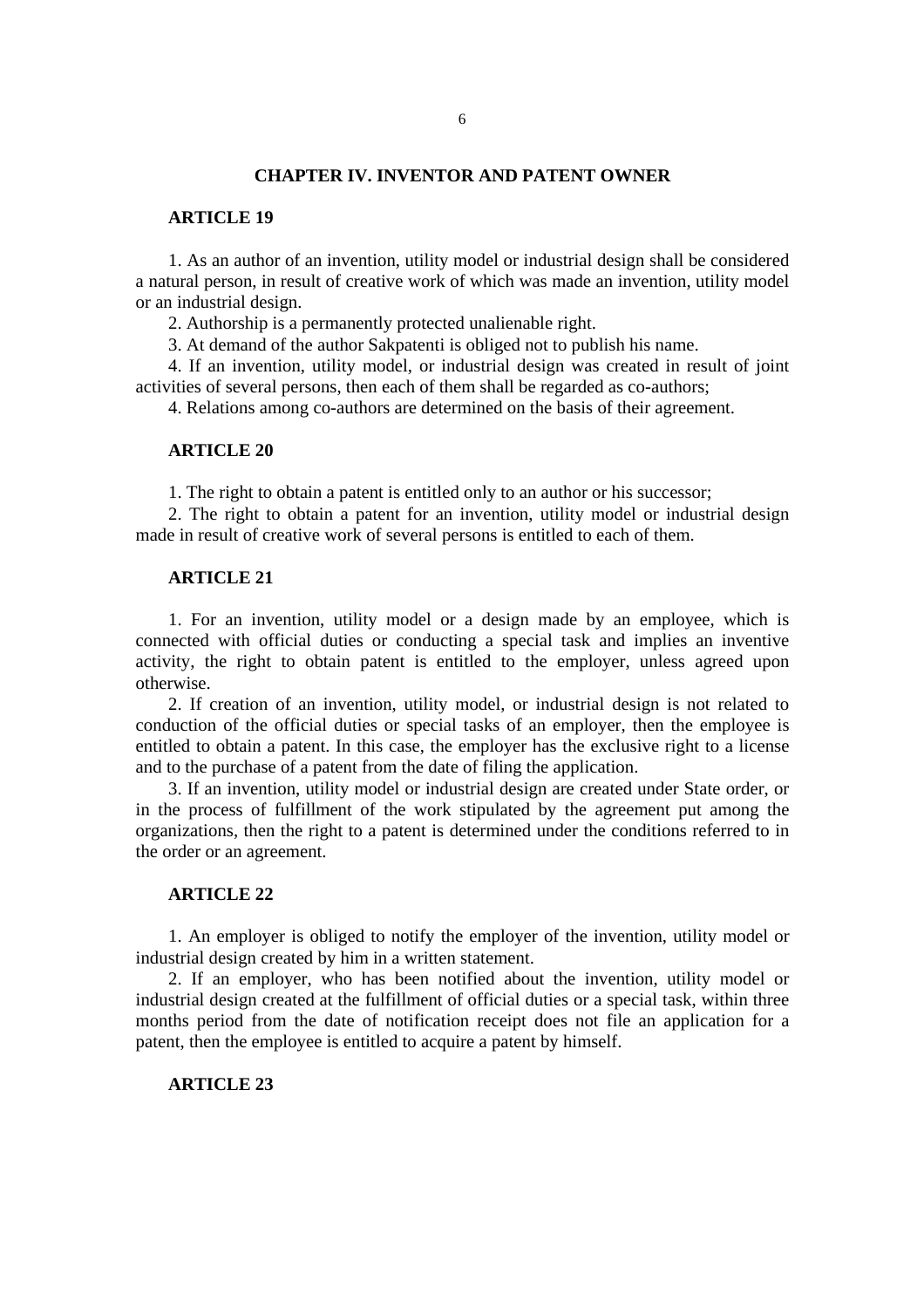### **CHAPTER IV. INVENTOR AND PATENT OWNER**

#### **ARTICLE 19**

1. As an author of an invention, utility model or industrial design shall be considered a natural person, in result of creative work of which was made an invention, utility model or an industrial design.

2. Authorship is a permanently protected unalienable right.

3. At demand of the author Sakpatenti is obliged not to publish his name.

4. If an invention, utility model, or industrial design was created in result of joint activities of several persons, then each of them shall be regarded as co-authors;

4. Relations among co-authors are determined on the basis of their agreement.

### **ARTICLE 20**

1. The right to obtain a patent is entitled only to an author or his successor;

2. The right to obtain a patent for an invention, utility model or industrial design made in result of creative work of several persons is entitled to each of them.

# **ARTICLE 21**

1. For an invention, utility model or a design made by an employee, which is connected with official duties or conducting a special task and implies an inventive activity, the right to obtain patent is entitled to the employer, unless agreed upon otherwise.

2. If creation of an invention, utility model, or industrial design is not related to conduction of the official duties or special tasks of an employer, then the employee is entitled to obtain a patent. In this case, the employer has the exclusive right to a license and to the purchase of a patent from the date of filing the application.

3. If an invention, utility model or industrial design are created under State order, or in the process of fulfillment of the work stipulated by the agreement put among the organizations, then the right to a patent is determined under the conditions referred to in the order or an agreement.

### **ARTICLE 22**

1. An employer is obliged to notify the employer of the invention, utility model or industrial design created by him in a written statement.

2. If an employer, who has been notified about the invention, utility model or industrial design created at the fulfillment of official duties or a special task, within three months period from the date of notification receipt does not file an application for a patent, then the employee is entitled to acquire a patent by himself.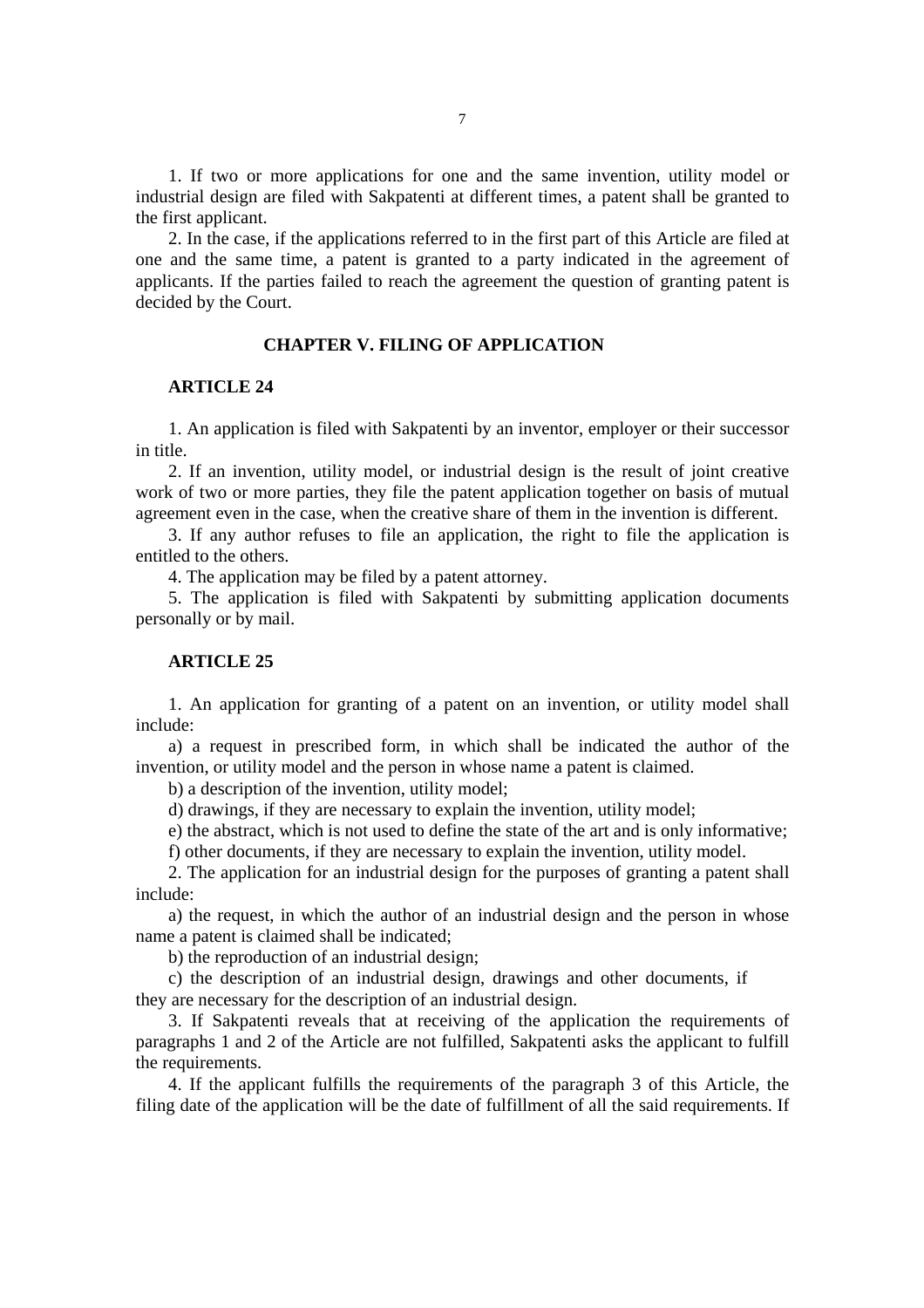1. If two or more applications for one and the same invention, utility model or industrial design are filed with Sakpatenti at different times, a patent shall be granted to the first applicant.

2. In the case, if the applications referred to in the first part of this Article are filed at one and the same time, a patent is granted to a party indicated in the agreement of applicants. If the parties failed to reach the agreement the question of granting patent is decided by the Court.

## **CHAPTER V. FILING OF APPLICATION**

# **ARTICLE 24**

1. An application is filed with Sakpatenti by an inventor, employer or their successor in title.

2. If an invention, utility model, or industrial design is the result of joint creative work of two or more parties, they file the patent application together on basis of mutual agreement even in the case, when the creative share of them in the invention is different.

3. If any author refuses to file an application, the right to file the application is entitled to the others.

4. The application may be filed by a patent attorney.

5. The application is filed with Sakpatenti by submitting application documents personally or by mail.

## **ARTICLE 25**

1. An application for granting of a patent on an invention, or utility model shall include:

a) a request in prescribed form, in which shall be indicated the author of the invention, or utility model and the person in whose name a patent is claimed.

b) a description of the invention, utility model;

d) drawings, if they are necessary to explain the invention, utility model;

e) the abstract, which is not used to define the state of the art and is only informative;

f) other documents, if they are necessary to explain the invention, utility model.

2. The application for an industrial design for the purposes of granting a patent shall include:

a) the request, in which the author of an industrial design and the person in whose name a patent is claimed shall be indicated;

b) the reproduction of an industrial design;

c) the description of an industrial design, drawings and other documents, if they are necessary for the description of an industrial design.

3. If Sakpatenti reveals that at receiving of the application the requirements of paragraphs 1 and 2 of the Article are not fulfilled, Sakpatenti asks the applicant to fulfill the requirements.

4. If the applicant fulfills the requirements of the paragraph 3 of this Article, the filing date of the application will be the date of fulfillment of all the said requirements. If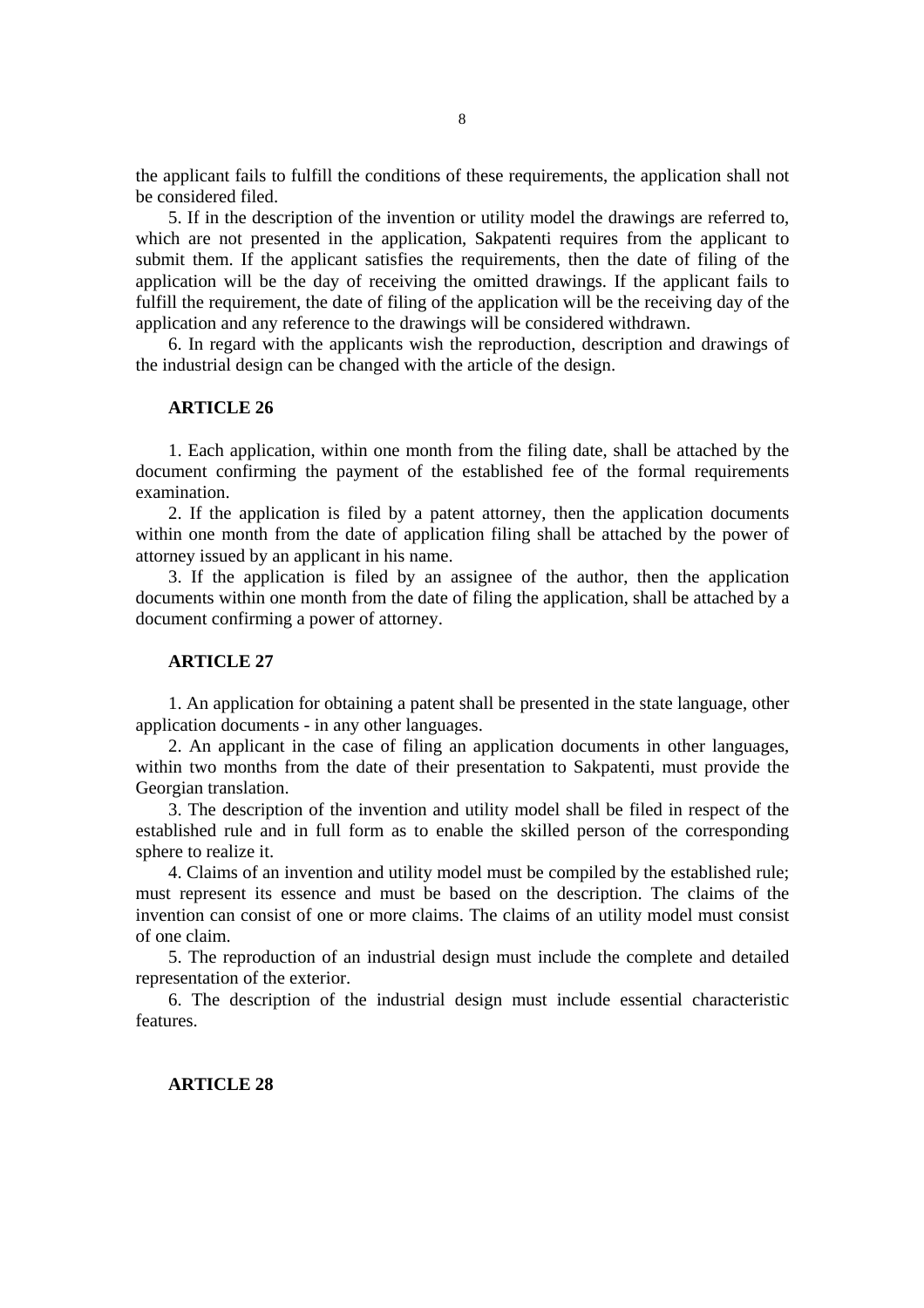the applicant fails to fulfill the conditions of these requirements, the application shall not be considered filed.

5. If in the description of the invention or utility model the drawings are referred to, which are not presented in the application, Sakpatenti requires from the applicant to submit them. If the applicant satisfies the requirements, then the date of filing of the application will be the day of receiving the omitted drawings. If the applicant fails to fulfill the requirement, the date of filing of the application will be the receiving day of the application and any reference to the drawings will be considered withdrawn.

6. In regard with the applicants wish the reproduction, description and drawings of the industrial design can be changed with the article of the design.

## **ARTICLE 26**

1. Each application, within one month from the filing date, shall be attached by the document confirming the payment of the established fee of the formal requirements examination.

2. If the application is filed by a patent attorney, then the application documents within one month from the date of application filing shall be attached by the power of attorney issued by an applicant in his name.

3. If the application is filed by an assignee of the author, then the application documents within one month from the date of filing the application, shall be attached by a document confirming a power of attorney.

## **ARTICLE 27**

1. An application for obtaining a patent shall be presented in the state language, other application documents - in any other languages.

2. An applicant in the case of filing an application documents in other languages, within two months from the date of their presentation to Sakpatenti, must provide the Georgian translation.

3. The description of the invention and utility model shall be filed in respect of the established rule and in full form as to enable the skilled person of the corresponding sphere to realize it.

4. Claims of an invention and utility model must be compiled by the established rule; must represent its essence and must be based on the description. The claims of the invention can consist of one or more claims. The claims of an utility model must consist of one claim.

5. The reproduction of an industrial design must include the complete and detailed representation of the exterior.

6. The description of the industrial design must include essential characteristic features.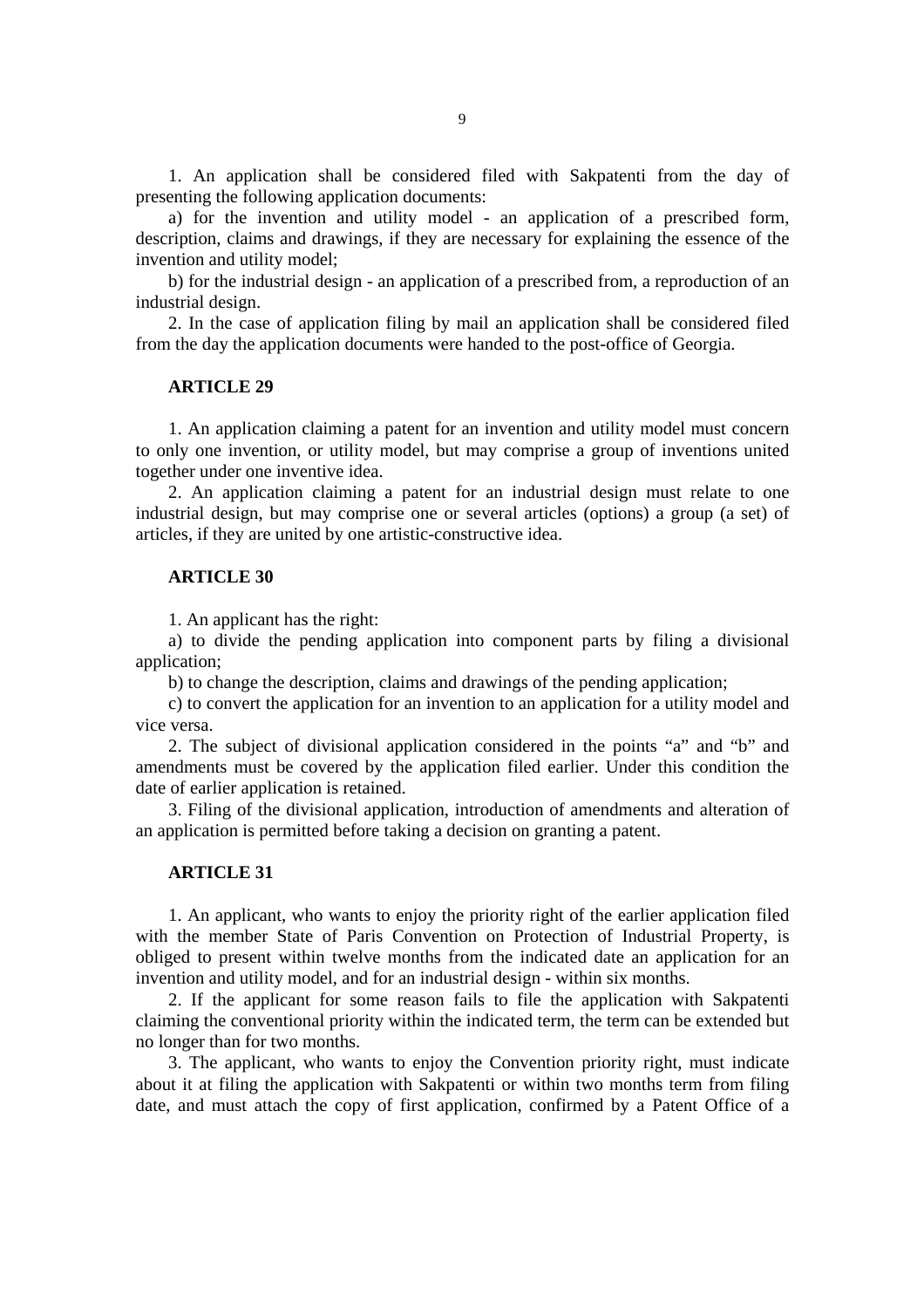1. An application shall be considered filed with Sakpatenti from the day of presenting the following application documents:

a) for the invention and utility model - an application of a prescribed form, description, claims and drawings, if they are necessary for explaining the essence of the invention and utility model;

b) for the industrial design - an application of a prescribed from, a reproduction of an industrial design.

2. In the case of application filing by mail an application shall be considered filed from the day the application documents were handed to the post-office of Georgia.

### **ARTICLE 29**

1. An application claiming a patent for an invention and utility model must concern to only one invention, or utility model, but may comprise a group of inventions united together under one inventive idea.

2. An application claiming a patent for an industrial design must relate to one industrial design, but may comprise one or several articles (options) a group (a set) of articles, if they are united by one artistic-constructive idea.

### **ARTICLE 30**

1. An applicant has the right:

a) to divide the pending application into component parts by filing a divisional application;

b) to change the description, claims and drawings of the pending application;

c) to convert the application for an invention to an application for a utility model and vice versa.

2. The subject of divisional application considered in the points "a" and "b" and amendments must be covered by the application filed earlier. Under this condition the date of earlier application is retained.

3. Filing of the divisional application, introduction of amendments and alteration of an application is permitted before taking a decision on granting a patent.

#### **ARTICLE 31**

1. An applicant, who wants to enjoy the priority right of the earlier application filed with the member State of Paris Convention on Protection of Industrial Property, is obliged to present within twelve months from the indicated date an application for an invention and utility model, and for an industrial design - within six months.

2. If the applicant for some reason fails to file the application with Sakpatenti claiming the conventional priority within the indicated term, the term can be extended but no longer than for two months.

3. The applicant, who wants to enjoy the Convention priority right, must indicate about it at filing the application with Sakpatenti or within two months term from filing date, and must attach the copy of first application, confirmed by a Patent Office of a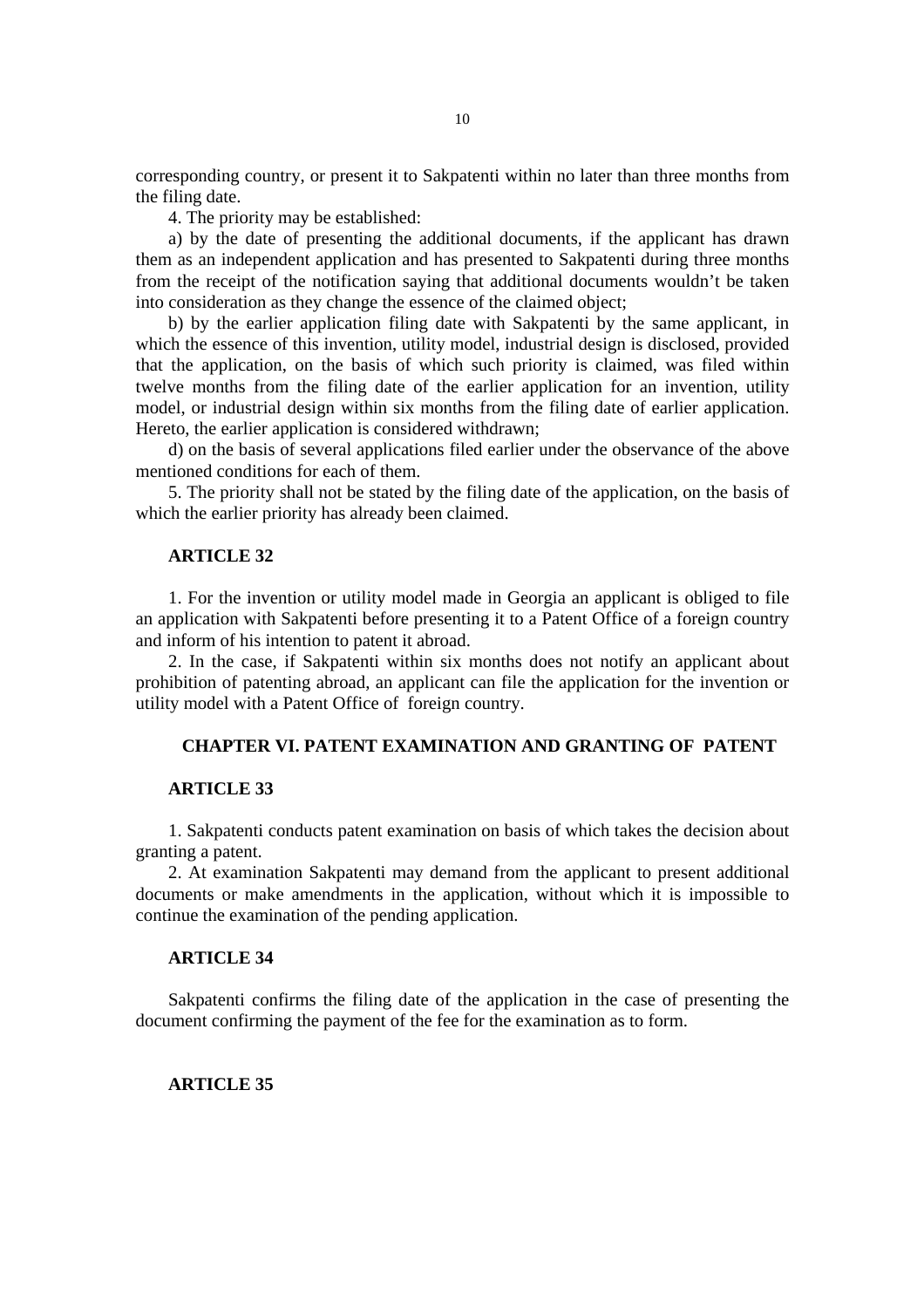corresponding country, or present it to Sakpatenti within no later than three months from the filing date.

4. The priority may be established:

a) by the date of presenting the additional documents, if the applicant has drawn them as an independent application and has presented to Sakpatenti during three months from the receipt of the notification saying that additional documents wouldn't be taken into consideration as they change the essence of the claimed object;

b) by the earlier application filing date with Sakpatenti by the same applicant, in which the essence of this invention, utility model, industrial design is disclosed, provided that the application, on the basis of which such priority is claimed, was filed within twelve months from the filing date of the earlier application for an invention, utility model, or industrial design within six months from the filing date of earlier application. Hereto, the earlier application is considered withdrawn;

d) on the basis of several applications filed earlier under the observance of the above mentioned conditions for each of them.

5. The priority shall not be stated by the filing date of the application, on the basis of which the earlier priority has already been claimed.

# **ARTICLE 32**

1. For the invention or utility model made in Georgia an applicant is obliged to file an application with Sakpatenti before presenting it to a Patent Office of a foreign country and inform of his intention to patent it abroad.

2. In the case, if Sakpatenti within six months does not notify an applicant about prohibition of patenting abroad, an applicant can file the application for the invention or utility model with a Patent Office of foreign country.

## **CHAPTER VI. PATENT EXAMINATION AND GRANTING OF PATENT**

#### **ARTICLE 33**

1. Sakpatenti conducts patent examination on basis of which takes the decision about granting a patent.

2. At examination Sakpatenti may demand from the applicant to present additional documents or make amendments in the application, without which it is impossible to continue the examination of the pending application.

## **ARTICLE 34**

Sakpatenti confirms the filing date of the application in the case of presenting the document confirming the payment of the fee for the examination as to form.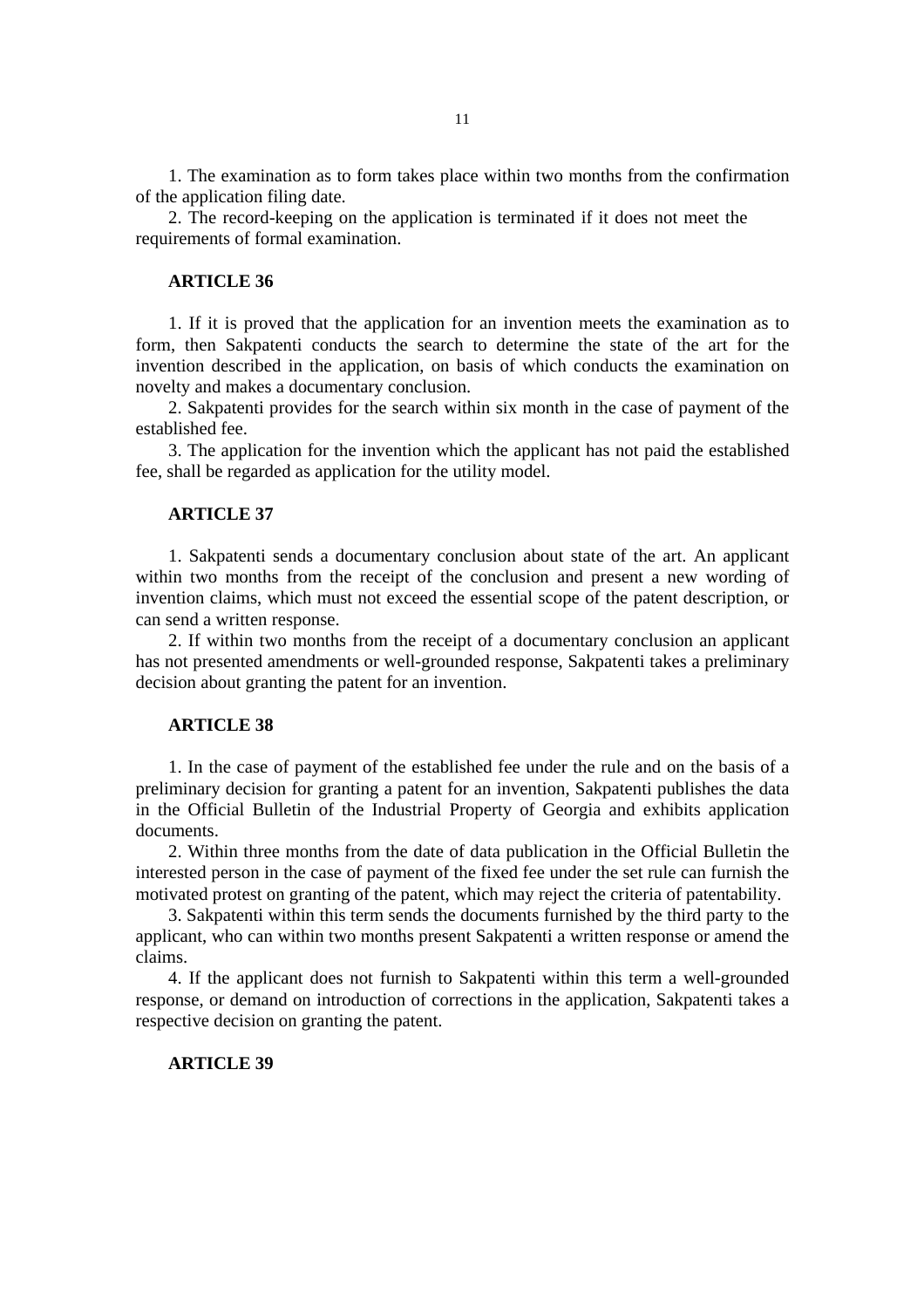1. The examination as to form takes place within two months from the confirmation of the application filing date.

2. The record-keeping on the application is terminated if it does not meet the requirements of formal examination.

# **ARTICLE 36**

1. If it is proved that the application for an invention meets the examination as to form, then Sakpatenti conducts the search to determine the state of the art for the invention described in the application, on basis of which conducts the examination on novelty and makes a documentary conclusion.

2. Sakpatenti provides for the search within six month in the case of payment of the established fee.

3. The application for the invention which the applicant has not paid the established fee, shall be regarded as application for the utility model.

#### **ARTICLE 37**

1. Sakpatenti sends a documentary conclusion about state of the art. An applicant within two months from the receipt of the conclusion and present a new wording of invention claims, which must not exceed the essential scope of the patent description, or can send a written response.

2. If within two months from the receipt of a documentary conclusion an applicant has not presented amendments or well-grounded response, Sakpatenti takes a preliminary decision about granting the patent for an invention.

# **ARTICLE 38**

1. In the case of payment of the established fee under the rule and on the basis of a preliminary decision for granting a patent for an invention, Sakpatenti publishes the data in the Official Bulletin of the Industrial Property of Georgia and exhibits application documents.

2. Within three months from the date of data publication in the Official Bulletin the interested person in the case of payment of the fixed fee under the set rule can furnish the motivated protest on granting of the patent, which may reject the criteria of patentability.

3. Sakpatenti within this term sends the documents furnished by the third party to the applicant, who can within two months present Sakpatenti a written response or amend the claims.

4. If the applicant does not furnish to Sakpatenti within this term a well-grounded response, or demand on introduction of corrections in the application, Sakpatenti takes a respective decision on granting the patent.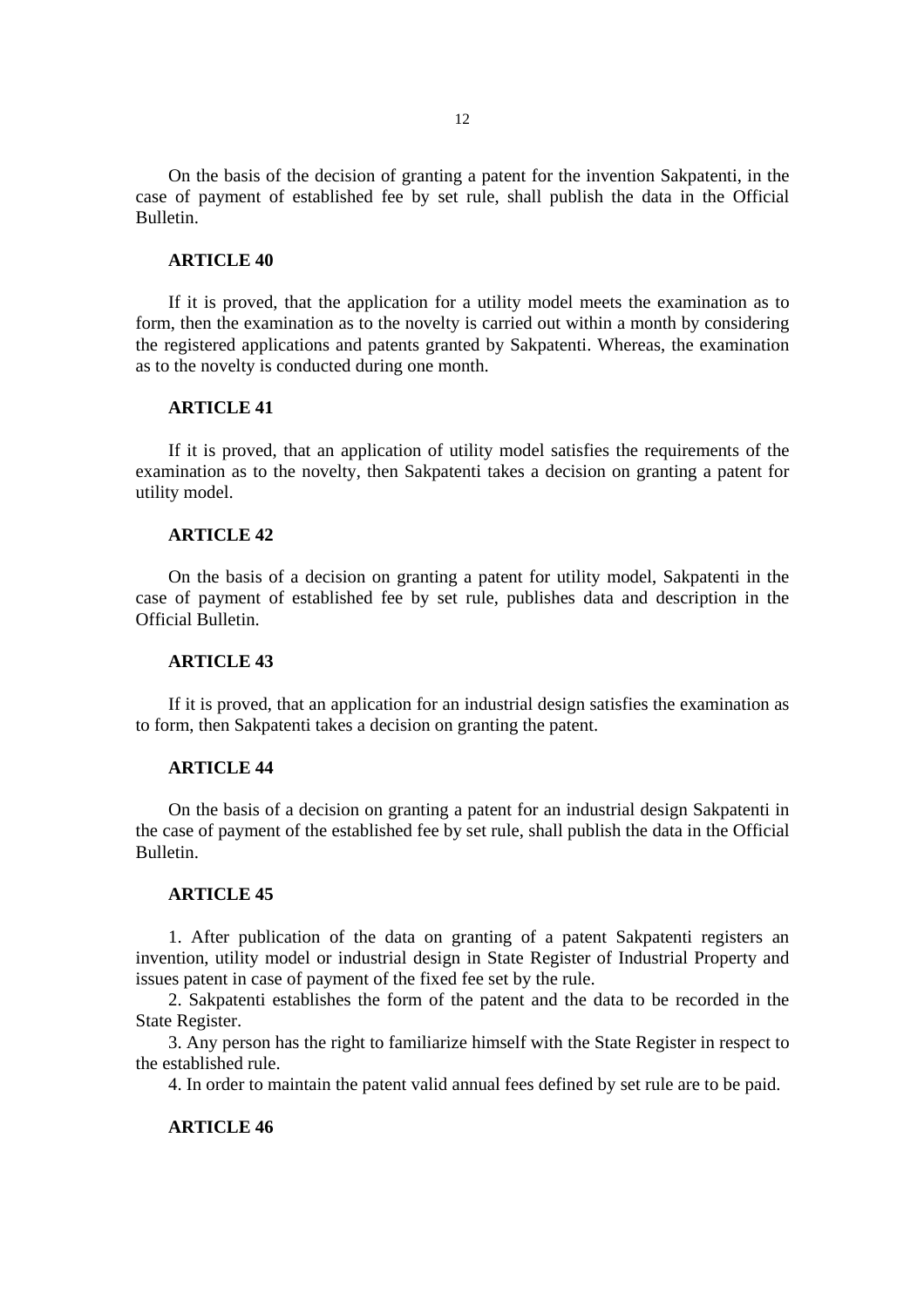On the basis of the decision of granting a patent for the invention Sakpatenti, in the case of payment of established fee by set rule, shall publish the data in the Official Bulletin.

#### **ARTICLE 40**

If it is proved, that the application for a utility model meets the examination as to form, then the examination as to the novelty is carried out within a month by considering the registered applications and patents granted by Sakpatenti. Whereas, the examination as to the novelty is conducted during one month.

## **ARTICLE 41**

If it is proved, that an application of utility model satisfies the requirements of the examination as to the novelty, then Sakpatenti takes a decision on granting a patent for utility model.

#### **ARTICLE 42**

On the basis of a decision on granting a patent for utility model, Sakpatenti in the case of payment of established fee by set rule, publishes data and description in the Official Bulletin.

## **ARTICLE 43**

If it is proved, that an application for an industrial design satisfies the examination as to form, then Sakpatenti takes a decision on granting the patent.

#### **ARTICLE 44**

On the basis of a decision on granting a patent for an industrial design Sakpatenti in the case of payment of the established fee by set rule, shall publish the data in the Official Bulletin.

### **ARTICLE 45**

1. After publication of the data on granting of a patent Sakpatenti registers an invention, utility model or industrial design in State Register of Industrial Property and issues patent in case of payment of the fixed fee set by the rule.

2. Sakpatenti establishes the form of the patent and the data to be recorded in the State Register.

3. Any person has the right to familiarize himself with the State Register in respect to the established rule.

4. In order to maintain the patent valid annual fees defined by set rule are to be paid.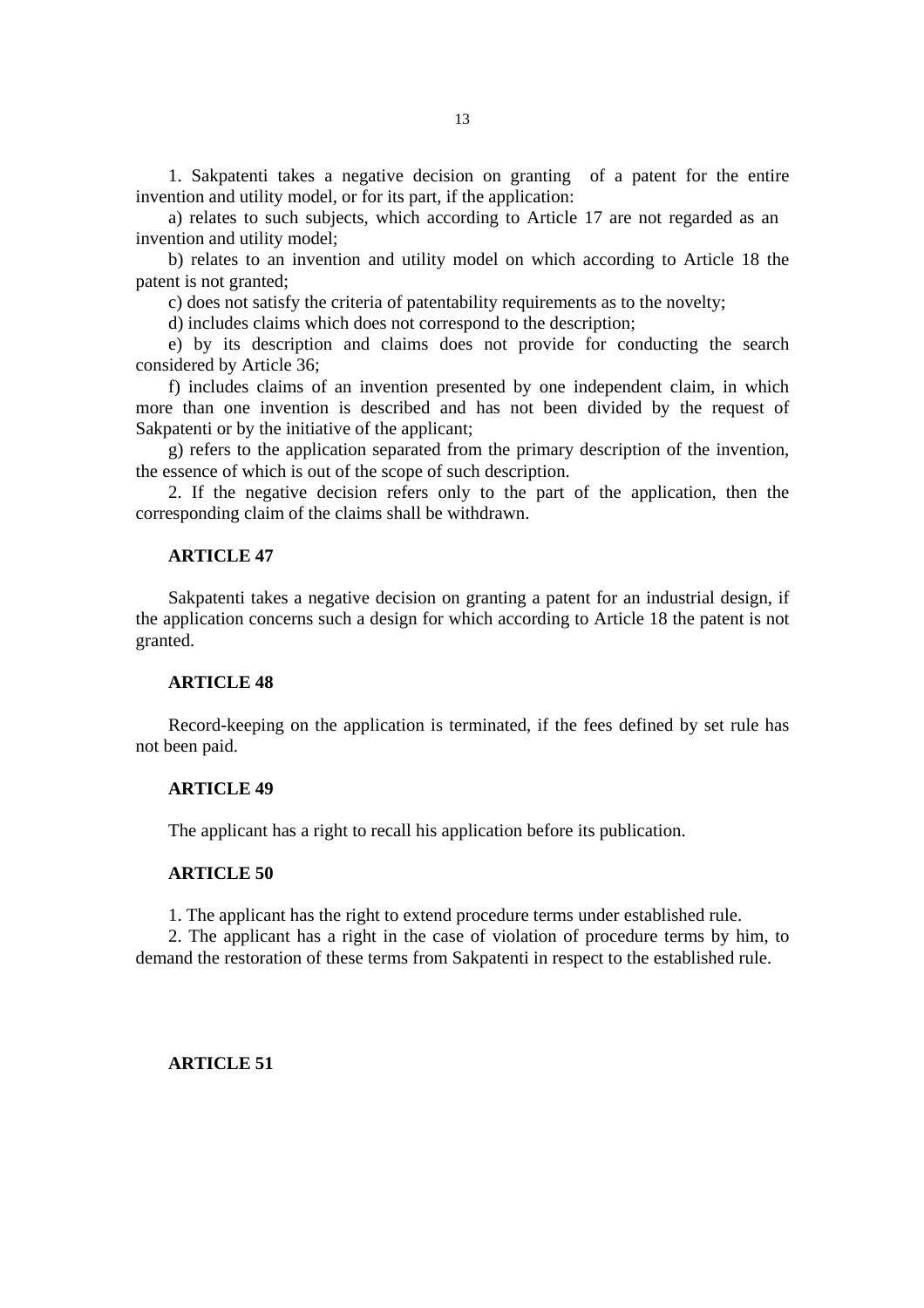1. Sakpatenti takes a negative decision on granting of a patent for the entire invention and utility model, or for its part, if the application:

a) relates to such subjects, which according to Article 17 are not regarded as an invention and utility model;

b) relates to an invention and utility model on which according to Article 18 the patent is not granted;

c) does not satisfy the criteria of patentability requirements as to the novelty;

d) includes claims which does not correspond to the description;

e) by its description and claims does not provide for conducting the search considered by Article 36;

f) includes claims of an invention presented by one independent claim, in which more than one invention is described and has not been divided by the request of Sakpatenti or by the initiative of the applicant;

g) refers to the application separated from the primary description of the invention, the essence of which is out of the scope of such description.

2. If the negative decision refers only to the part of the application, then the corresponding claim of the claims shall be withdrawn.

## **ARTICLE 47**

Sakpatenti takes a negative decision on granting a patent for an industrial design, if the application concerns such a design for which according to Article 18 the patent is not granted.

#### **ARTICLE 48**

Record-keeping on the application is terminated, if the fees defined by set rule has not been paid.

### **ARTICLE 49**

The applicant has a right to recall his application before its publication.

#### **ARTICLE 50**

1. The applicant has the right to extend procedure terms under established rule.

2. The applicant has a right in the case of violation of procedure terms by him, to demand the restoration of these terms from Sakpatenti in respect to the established rule.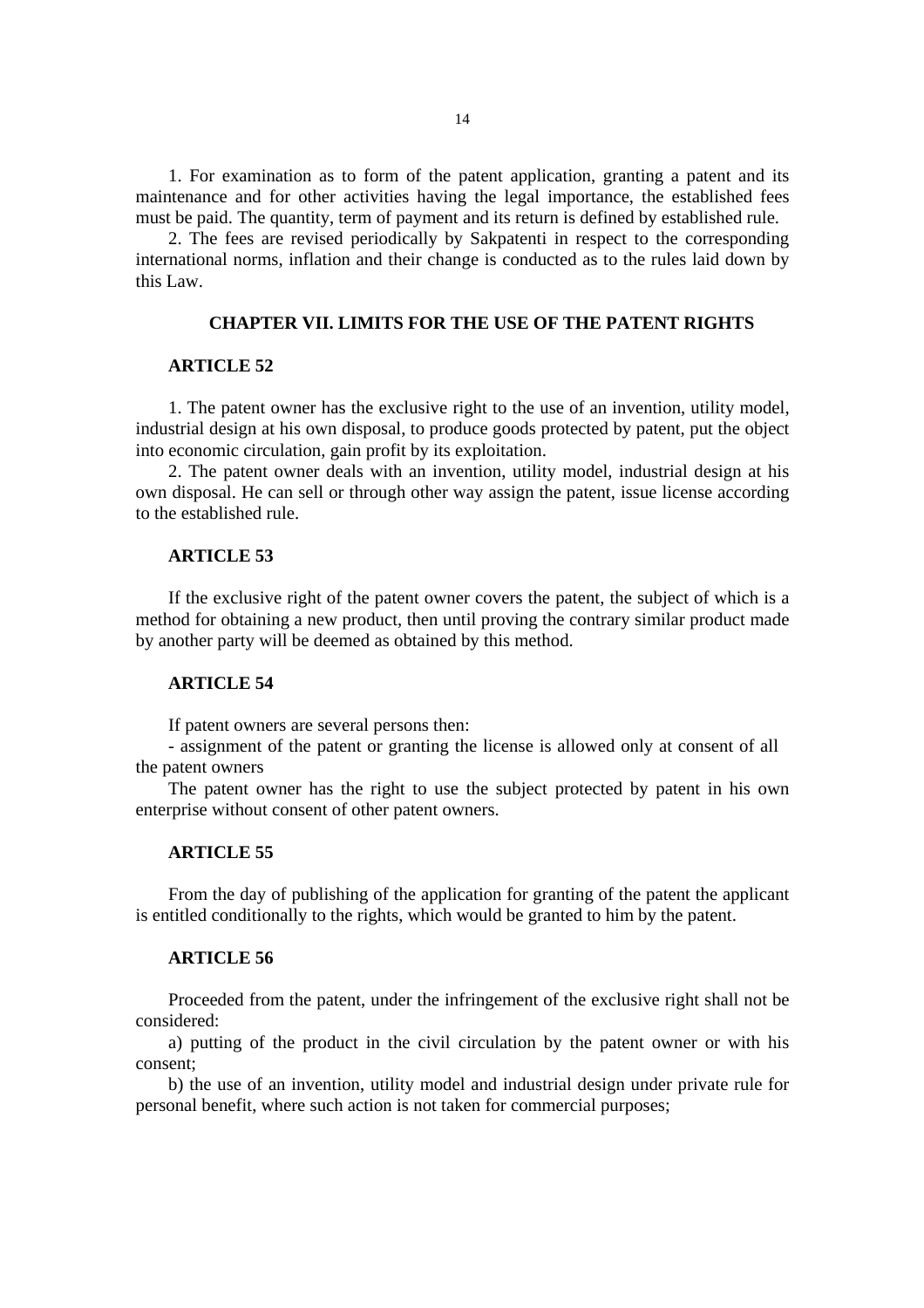1. For examination as to form of the patent application, granting a patent and its maintenance and for other activities having the legal importance, the established fees must be paid. The quantity, term of payment and its return is defined by established rule.

2. The fees are revised periodically by Sakpatenti in respect to the corresponding international norms, inflation and their change is conducted as to the rules laid down by this Law.

## **CHAPTER VII. LIMITS FOR THE USE OF THE PATENT RIGHTS**

## **ARTICLE 52**

1. The patent owner has the exclusive right to the use of an invention, utility model, industrial design at his own disposal, to produce goods protected by patent, put the object into economic circulation, gain profit by its exploitation.

2. The patent owner deals with an invention, utility model, industrial design at his own disposal. He can sell or through other way assign the patent, issue license according to the established rule.

## **ARTICLE 53**

If the exclusive right of the patent owner covers the patent, the subject of which is a method for obtaining a new product, then until proving the contrary similar product made by another party will be deemed as obtained by this method.

### **ARTICLE 54**

If patent owners are several persons then:

- assignment of the patent or granting the license is allowed only at consent of all the patent owners

The patent owner has the right to use the subject protected by patent in his own enterprise without consent of other patent owners.

#### **ARTICLE 55**

From the day of publishing of the application for granting of the patent the applicant is entitled conditionally to the rights, which would be granted to him by the patent.

### **ARTICLE 56**

Proceeded from the patent, under the infringement of the exclusive right shall not be considered:

a) putting of the product in the civil circulation by the patent owner or with his consent;

b) the use of an invention, utility model and industrial design under private rule for personal benefit, where such action is not taken for commercial purposes;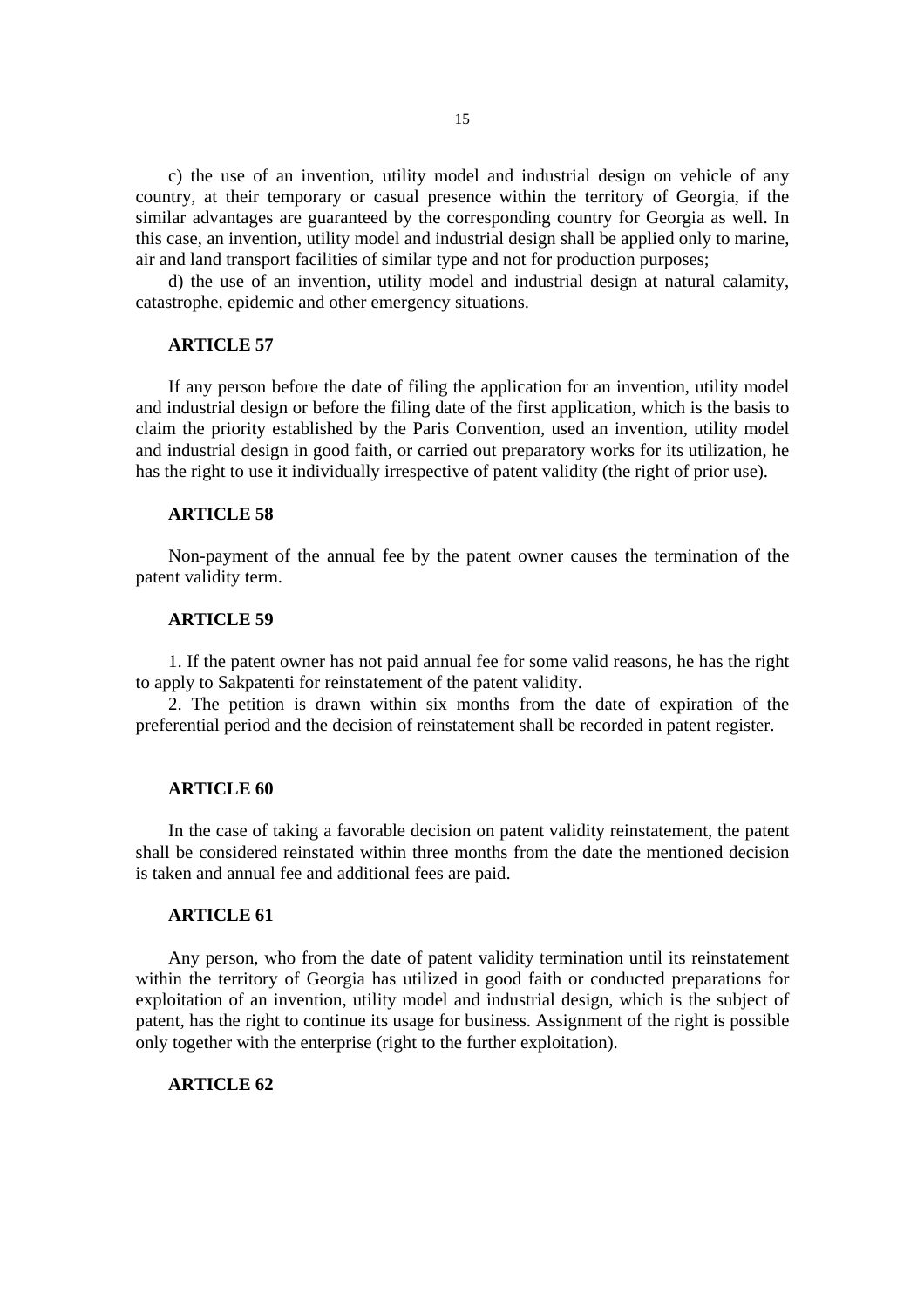c) the use of an invention, utility model and industrial design on vehicle of any country, at their temporary or casual presence within the territory of Georgia, if the similar advantages are guaranteed by the corresponding country for Georgia as well. In this case, an invention, utility model and industrial design shall be applied only to marine, air and land transport facilities of similar type and not for production purposes;

d) the use of an invention, utility model and industrial design at natural calamity, catastrophe, epidemic and other emergency situations.

## **ARTICLE 57**

If any person before the date of filing the application for an invention, utility model and industrial design or before the filing date of the first application, which is the basis to claim the priority established by the Paris Convention, used an invention, utility model and industrial design in good faith, or carried out preparatory works for its utilization, he has the right to use it individually irrespective of patent validity (the right of prior use).

#### **ARTICLE 58**

Non-payment of the annual fee by the patent owner causes the termination of the patent validity term.

#### **ARTICLE 59**

1. If the patent owner has not paid annual fee for some valid reasons, he has the right to apply to Sakpatenti for reinstatement of the patent validity.

2. The petition is drawn within six months from the date of expiration of the preferential period and the decision of reinstatement shall be recorded in patent register.

#### **ARTICLE 60**

In the case of taking a favorable decision on patent validity reinstatement, the patent shall be considered reinstated within three months from the date the mentioned decision is taken and annual fee and additional fees are paid.

### **ARTICLE 61**

Any person, who from the date of patent validity termination until its reinstatement within the territory of Georgia has utilized in good faith or conducted preparations for exploitation of an invention, utility model and industrial design, which is the subject of patent, has the right to continue its usage for business. Assignment of the right is possible only together with the enterprise (right to the further exploitation).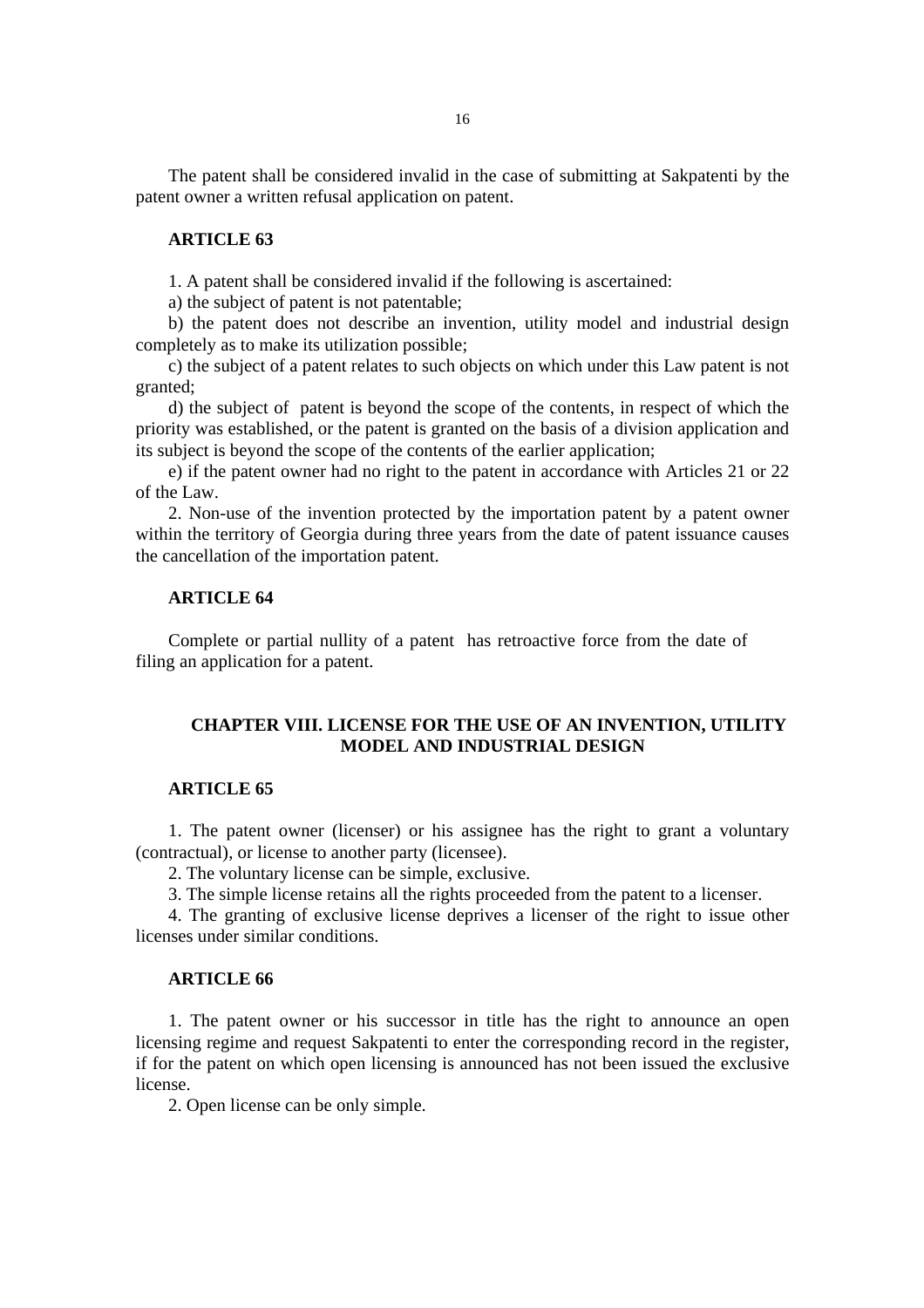The patent shall be considered invalid in the case of submitting at Sakpatenti by the patent owner a written refusal application on patent.

### **ARTICLE 63**

1. A patent shall be considered invalid if the following is ascertained:

a) the subject of patent is not patentable;

b) the patent does not describe an invention, utility model and industrial design completely as to make its utilization possible;

c) the subject of a patent relates to such objects on which under this Law patent is not granted;

d) the subject of patent is beyond the scope of the contents, in respect of which the priority was established, or the patent is granted on the basis of a division application and its subject is beyond the scope of the contents of the earlier application;

e) if the patent owner had no right to the patent in accordance with Articles 21 or 22 of the Law.

2. Non-use of the invention protected by the importation patent by a patent owner within the territory of Georgia during three years from the date of patent issuance causes the cancellation of the importation patent.

### **ARTICLE 64**

Complete or partial nullity of a patent has retroactive force from the date of filing an application for a patent.

# **CHAPTER VIII. LICENSE FOR THE USE OF AN INVENTION, UTILITY MODEL AND INDUSTRIAL DESIGN**

## **ARTICLE 65**

1. The patent owner (licenser) or his assignee has the right to grant a voluntary (contractual), or license to another party (licensee).

2. The voluntary license can be simple, exclusive.

3. The simple license retains all the rights proceeded from the patent to a licenser.

4. The granting of exclusive license deprives a licenser of the right to issue other licenses under similar conditions.

## **ARTICLE 66**

1. The patent owner or his successor in title has the right to announce an open licensing regime and request Sakpatenti to enter the corresponding record in the register, if for the patent on which open licensing is announced has not been issued the exclusive license.

2. Open license can be only simple.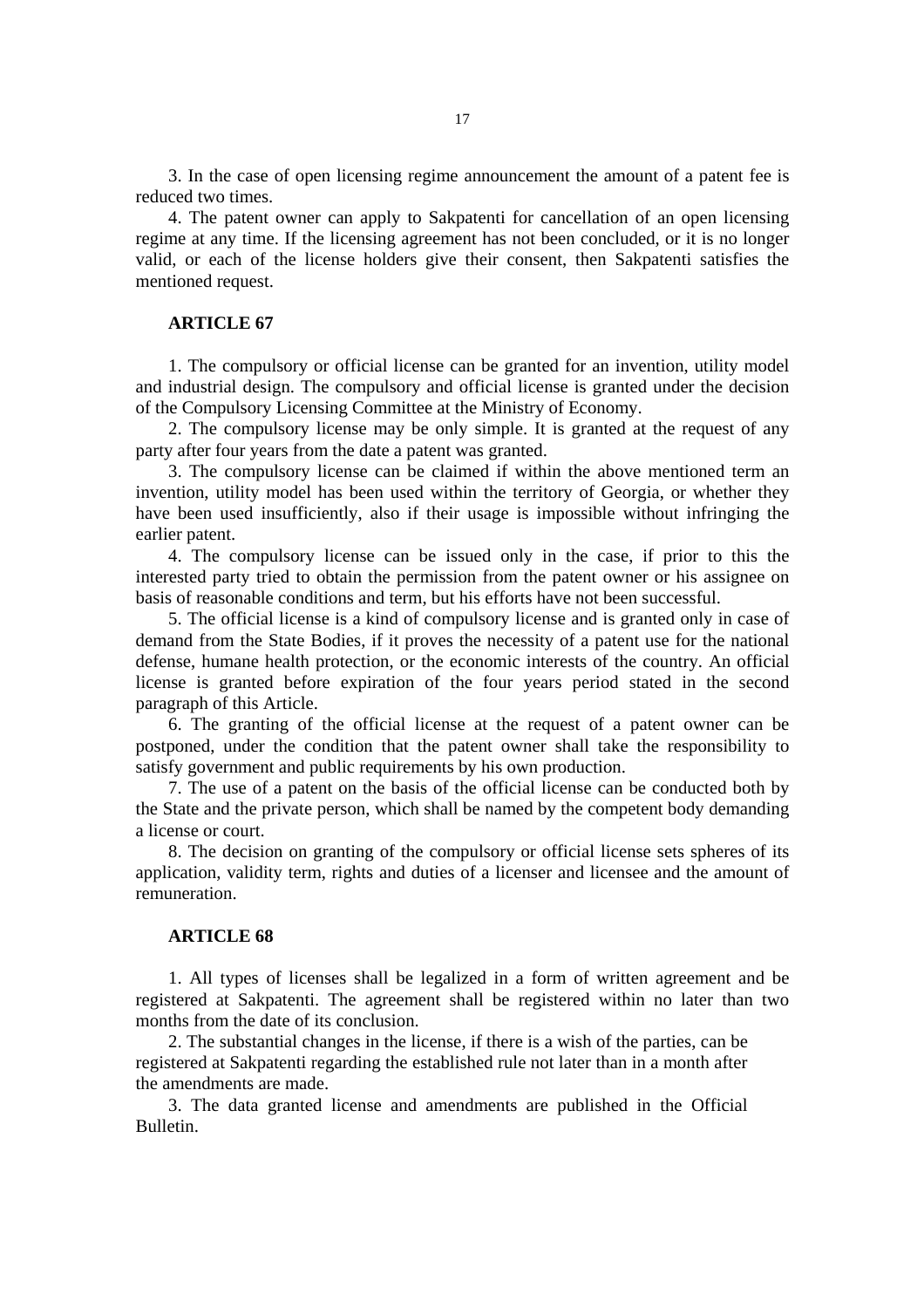3. In the case of open licensing regime announcement the amount of a patent fee is reduced two times.

4. The patent owner can apply to Sakpatenti for cancellation of an open licensing regime at any time. If the licensing agreement has not been concluded, or it is no longer valid, or each of the license holders give their consent, then Sakpatenti satisfies the mentioned request.

### **ARTICLE 67**

1. The compulsory or official license can be granted for an invention, utility model and industrial design. The compulsory and official license is granted under the decision of the Compulsory Licensing Committee at the Ministry of Economy.

2. The compulsory license may be only simple. It is granted at the request of any party after four years from the date a patent was granted.

3. The compulsory license can be claimed if within the above mentioned term an invention, utility model has been used within the territory of Georgia, or whether they have been used insufficiently, also if their usage is impossible without infringing the earlier patent.

4. The compulsory license can be issued only in the case, if prior to this the interested party tried to obtain the permission from the patent owner or his assignee on basis of reasonable conditions and term, but his efforts have not been successful.

5. The official license is a kind of compulsory license and is granted only in case of demand from the State Bodies, if it proves the necessity of a patent use for the national defense, humane health protection, or the economic interests of the country. An official license is granted before expiration of the four years period stated in the second paragraph of this Article.

6. The granting of the official license at the request of a patent owner can be postponed, under the condition that the patent owner shall take the responsibility to satisfy government and public requirements by his own production.

7. The use of a patent on the basis of the official license can be conducted both by the State and the private person, which shall be named by the competent body demanding a license or court.

8. The decision on granting of the compulsory or official license sets spheres of its application, validity term, rights and duties of a licenser and licensee and the amount of remuneration.

#### **ARTICLE 68**

1. All types of licenses shall be legalized in a form of written agreement and be registered at Sakpatenti. The agreement shall be registered within no later than two months from the date of its conclusion.

2. The substantial changes in the license, if there is a wish of the parties, can be registered at Sakpatenti regarding the established rule not later than in a month after the amendments are made.

3. The data granted license and amendments are published in the Official Bulletin.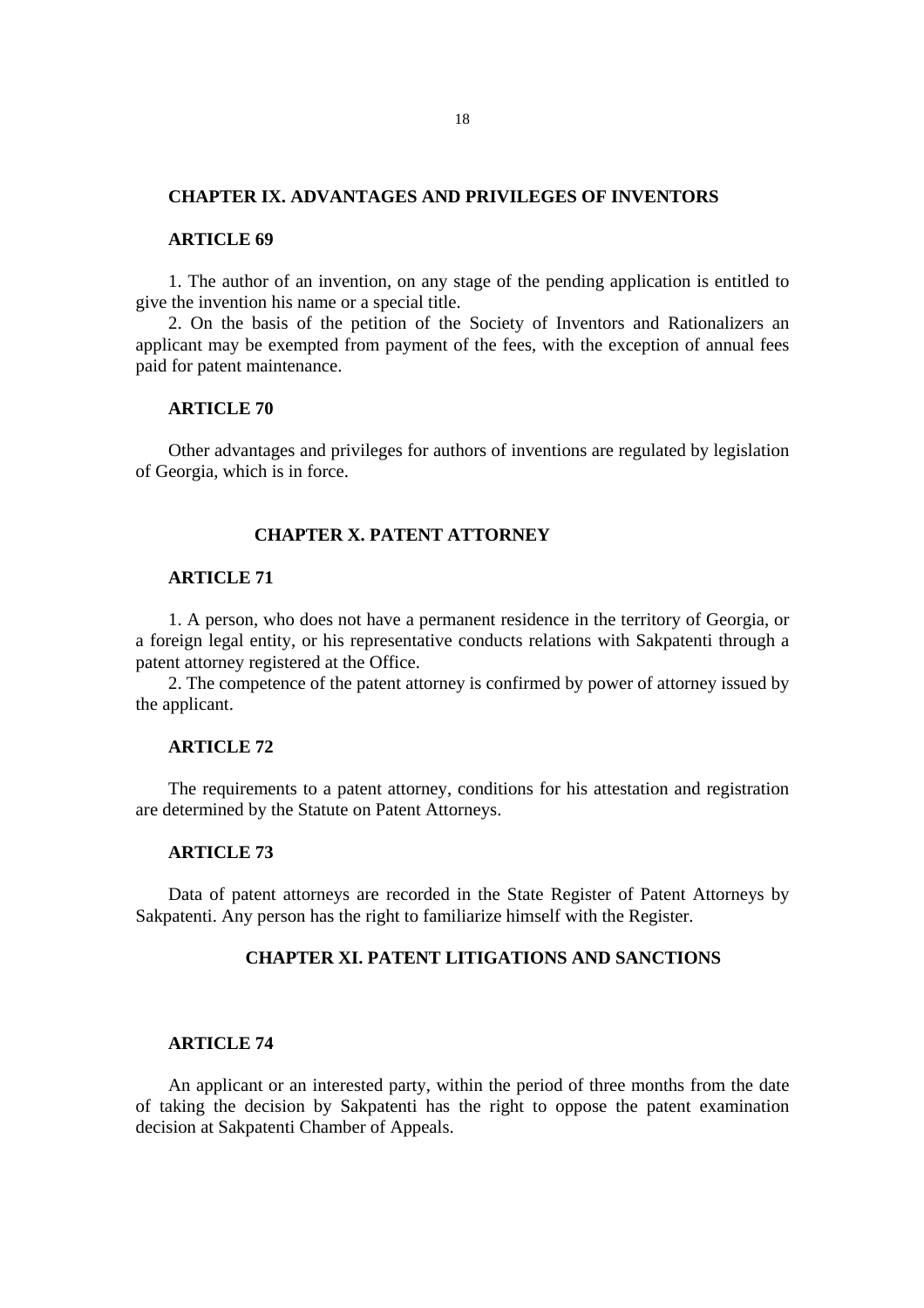## **CHAPTER IX. ADVANTAGES AND PRIVILEGES OF INVENTORS**

#### **ARTICLE 69**

1. The author of an invention, on any stage of the pending application is entitled to give the invention his name or a special title.

2. On the basis of the petition of the Society of Inventors and Rationalizers an applicant may be exempted from payment of the fees, with the exception of annual fees paid for patent maintenance.

## **ARTICLE 70**

Other advantages and privileges for authors of inventions are regulated by legislation of Georgia, which is in force.

## **CHAPTER X. PATENT ATTORNEY**

# **ARTICLE 71**

1. A person, who does not have a permanent residence in the territory of Georgia, or a foreign legal entity, or his representative conducts relations with Sakpatenti through a patent attorney registered at the Office.

2. The competence of the patent attorney is confirmed by power of attorney issued by the applicant.

### **ARTICLE 72**

The requirements to a patent attorney, conditions for his attestation and registration are determined by the Statute on Patent Attorneys.

## **ARTICLE 73**

Data of patent attorneys are recorded in the State Register of Patent Attorneys by Sakpatenti. Any person has the right to familiarize himself with the Register.

### **CHAPTER XI. PATENT LITIGATIONS AND SANCTIONS**

### **ARTICLE 74**

An applicant or an interested party, within the period of three months from the date of taking the decision by Sakpatenti has the right to oppose the patent examination decision at Sakpatenti Chamber of Appeals.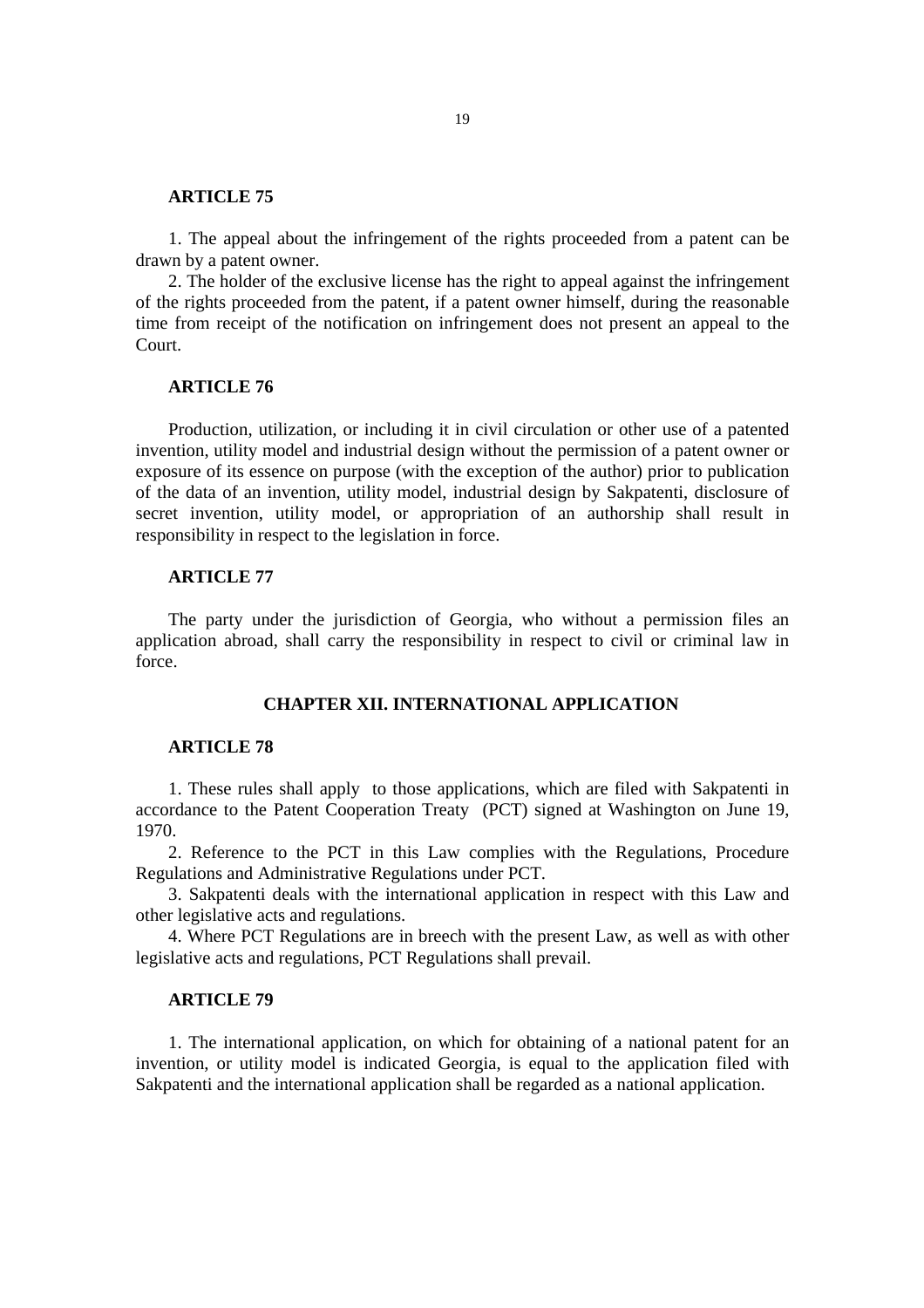### **ARTICLE 75**

1. The appeal about the infringement of the rights proceeded from a patent can be drawn by a patent owner.

2. The holder of the exclusive license has the right to appeal against the infringement of the rights proceeded from the patent, if a patent owner himself, during the reasonable time from receipt of the notification on infringement does not present an appeal to the Court.

# **ARTICLE 76**

Production, utilization, or including it in civil circulation or other use of a patented invention, utility model and industrial design without the permission of a patent owner or exposure of its essence on purpose (with the exception of the author) prior to publication of the data of an invention, utility model, industrial design by Sakpatenti, disclosure of secret invention, utility model, or appropriation of an authorship shall result in responsibility in respect to the legislation in force.

# **ARTICLE 77**

The party under the jurisdiction of Georgia, who without a permission files an application abroad, shall carry the responsibility in respect to civil or criminal law in force.

# **CHAPTER XII. INTERNATIONAL APPLICATION**

## **ARTICLE 78**

1. These rules shall apply to those applications, which are filed with Sakpatenti in accordance to the Patent Cooperation Treaty (PCT) signed at Washington on June 19, 1970.

2. Reference to the PCT in this Law complies with the Regulations, Procedure Regulations and Administrative Regulations under PCT.

3. Sakpatenti deals with the international application in respect with this Law and other legislative acts and regulations.

4. Where PCT Regulations are in breech with the present Law, as well as with other legislative acts and regulations, PCT Regulations shall prevail.

## **ARTICLE 79**

1. The international application, on which for obtaining of a national patent for an invention, or utility model is indicated Georgia, is equal to the application filed with Sakpatenti and the international application shall be regarded as a national application.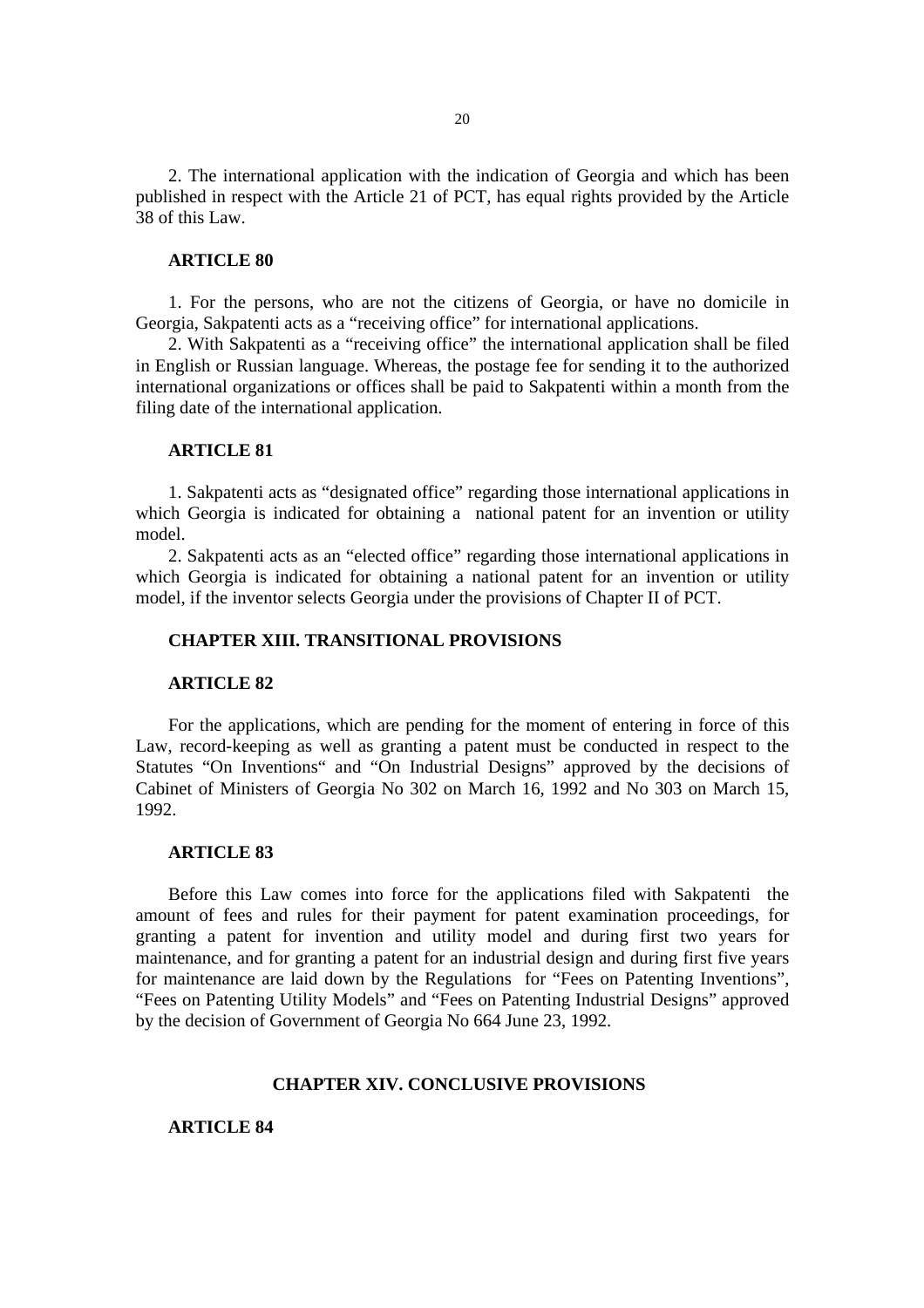2. The international application with the indication of Georgia and which has been published in respect with the Article 21 of PCT, has equal rights provided by the Article 38 of this Law.

#### **ARTICLE 80**

1. For the persons, who are not the citizens of Georgia, or have no domicile in Georgia, Sakpatenti acts as a "receiving office" for international applications.

2. With Sakpatenti as a "receiving office" the international application shall be filed in English or Russian language. Whereas, the postage fee for sending it to the authorized international organizations or offices shall be paid to Sakpatenti within a month from the filing date of the international application.

## **ARTICLE 81**

1. Sakpatenti acts as "designated office" regarding those international applications in which Georgia is indicated for obtaining a national patent for an invention or utility model.

2. Sakpatenti acts as an "elected office" regarding those international applications in which Georgia is indicated for obtaining a national patent for an invention or utility model, if the inventor selects Georgia under the provisions of Chapter II of PCT.

# **CHAPTER XIII. TRANSITIONAL PROVISIONS**

#### **ARTICLE 82**

For the applications, which are pending for the moment of entering in force of this Law, record-keeping as well as granting a patent must be conducted in respect to the Statutes "On Inventions" and "On Industrial Designs" approved by the decisions of Cabinet of Ministers of Georgia No 302 on March 16, 1992 and No 303 on March 15, 1992.

#### **ARTICLE 83**

Before this Law comes into force for the applications filed with Sakpatenti the amount of fees and rules for their payment for patent examination proceedings, for granting a patent for invention and utility model and during first two years for maintenance, and for granting a patent for an industrial design and during first five years for maintenance are laid down by the Regulations for "Fees on Patenting Inventions", "Fees on Patenting Utility Models" and "Fees on Patenting Industrial Designs" approved by the decision of Government of Georgia No 664 June 23, 1992.

## **CHAPTER XIV. CONCLUSIVE PROVISIONS**